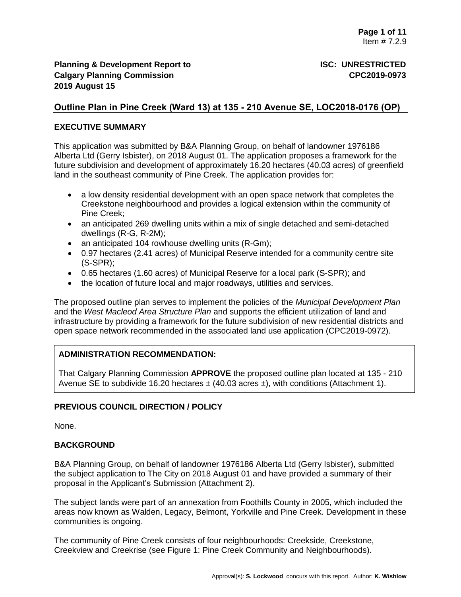# **Outline Plan in Pine Creek (Ward 13) at 135 - 210 Avenue SE, LOC2018-0176 (OP)**

### **EXECUTIVE SUMMARY**

This application was submitted by B&A Planning Group, on behalf of landowner 1976186 Alberta Ltd (Gerry Isbister), on 2018 August 01. The application proposes a framework for the future subdivision and development of approximately 16.20 hectares (40.03 acres) of greenfield land in the southeast community of Pine Creek. The application provides for:

- a low density residential development with an open space network that completes the Creekstone neighbourhood and provides a logical extension within the community of Pine Creek;
- an anticipated 269 dwelling units within a mix of single detached and semi-detached dwellings (R-G, R-2M);
- an anticipated 104 rowhouse dwelling units (R-Gm);
- 0.97 hectares (2.41 acres) of Municipal Reserve intended for a community centre site (S-SPR);
- 0.65 hectares (1.60 acres) of Municipal Reserve for a local park (S-SPR); and
- the location of future local and major roadways, utilities and services.

The proposed outline plan serves to implement the policies of the *Municipal Development Plan* and the *West Macleod Area Structure Plan* and supports the efficient utilization of land and infrastructure by providing a framework for the future subdivision of new residential districts and open space network recommended in the associated land use application (CPC2019-0972).

# **ADMINISTRATION RECOMMENDATION:**

That Calgary Planning Commission **APPROVE** the proposed outline plan located at 135 - 210 Avenue SE to subdivide 16.20 hectares  $\pm$  (40.03 acres  $\pm$ ), with conditions (Attachment 1).

# **PREVIOUS COUNCIL DIRECTION / POLICY**

None.

#### **BACKGROUND**

B&A Planning Group, on behalf of landowner 1976186 Alberta Ltd (Gerry Isbister), submitted the subject application to The City on 2018 August 01 and have provided a summary of their proposal in the Applicant's Submission (Attachment 2).

The subject lands were part of an annexation from Foothills County in 2005, which included the areas now known as Walden, Legacy, Belmont, Yorkville and Pine Creek. Development in these communities is ongoing.

The community of Pine Creek consists of four neighbourhoods: Creekside, Creekstone, Creekview and Creekrise (see Figure 1: Pine Creek Community and Neighbourhoods).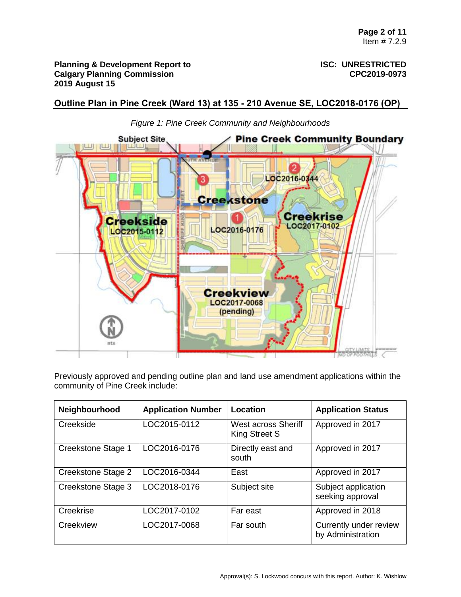**Outline Plan in Pine Creek (Ward 13) at 135 - 210 Avenue SE, LOC2018-0176 (OP)**



*Figure 1: Pine Creek Community and Neighbourhoods*

Previously approved and pending outline plan and land use amendment applications within the community of Pine Creek include:

| Neighbourhood      | <b>Application Number</b> | Location                             | <b>Application Status</b>                   |
|--------------------|---------------------------|--------------------------------------|---------------------------------------------|
| Creekside          | LOC2015-0112              | West across Sheriff<br>King Street S | Approved in 2017                            |
| Creekstone Stage 1 | LOC2016-0176              | Directly east and<br>south           | Approved in 2017                            |
| Creekstone Stage 2 | LOC2016-0344              | East                                 | Approved in 2017                            |
| Creekstone Stage 3 | LOC2018-0176              | Subject site                         | Subject application<br>seeking approval     |
| Creekrise          | LOC2017-0102              | Far east                             | Approved in 2018                            |
| Creekview          | LOC2017-0068              | Far south                            | Currently under review<br>by Administration |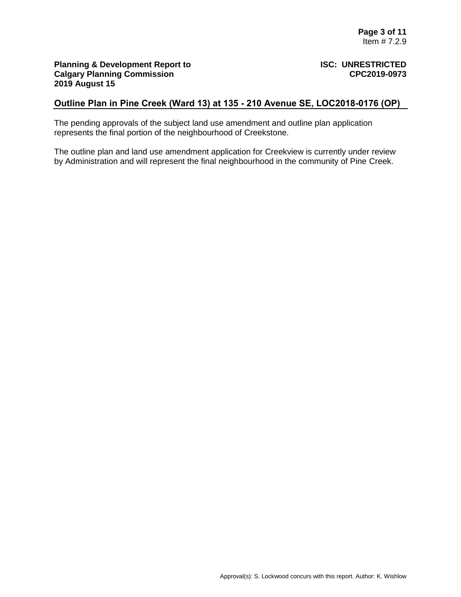# **Outline Plan in Pine Creek (Ward 13) at 135 - 210 Avenue SE, LOC2018-0176 (OP)**

The pending approvals of the subject land use amendment and outline plan application represents the final portion of the neighbourhood of Creekstone.

The outline plan and land use amendment application for Creekview is currently under review by Administration and will represent the final neighbourhood in the community of Pine Creek.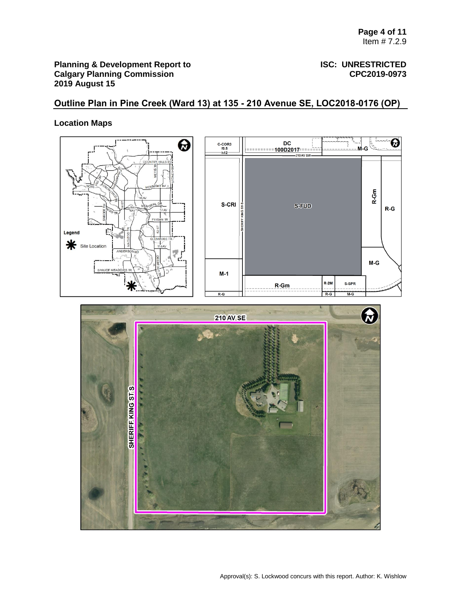# **Outline Plan in Pine Creek (Ward 13) at 135 - 210 Avenue SE, LOC2018-0176 (OP)**

# **Location Maps**



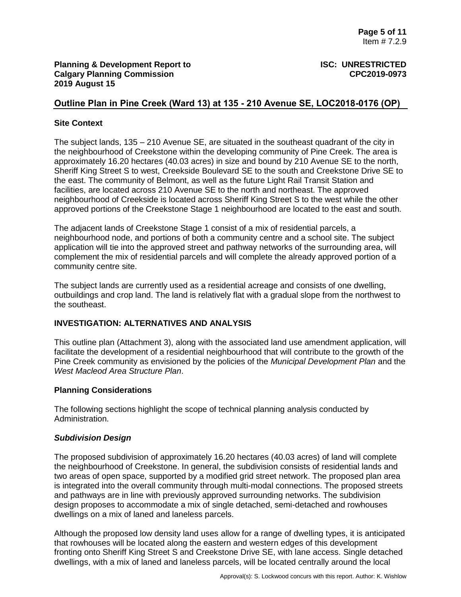# **Outline Plan in Pine Creek (Ward 13) at 135 - 210 Avenue SE, LOC2018-0176 (OP)**

# **Site Context**

The subject lands, 135 – 210 Avenue SE, are situated in the southeast quadrant of the city in the neighbourhood of Creekstone within the developing community of Pine Creek. The area is approximately 16.20 hectares (40.03 acres) in size and bound by 210 Avenue SE to the north, Sheriff King Street S to west, Creekside Boulevard SE to the south and Creekstone Drive SE to the east. The community of Belmont, as well as the future Light Rail Transit Station and facilities, are located across 210 Avenue SE to the north and northeast. The approved neighbourhood of Creekside is located across Sheriff King Street S to the west while the other approved portions of the Creekstone Stage 1 neighbourhood are located to the east and south.

The adjacent lands of Creekstone Stage 1 consist of a mix of residential parcels, a neighbourhood node, and portions of both a community centre and a school site. The subject application will tie into the approved street and pathway networks of the surrounding area, will complement the mix of residential parcels and will complete the already approved portion of a community centre site.

The subject lands are currently used as a residential acreage and consists of one dwelling, outbuildings and crop land. The land is relatively flat with a gradual slope from the northwest to the southeast.

# **INVESTIGATION: ALTERNATIVES AND ANALYSIS**

This outline plan (Attachment 3), along with the associated land use amendment application, will facilitate the development of a residential neighbourhood that will contribute to the growth of the Pine Creek community as envisioned by the policies of the *Municipal Development Plan* and the *West Macleod Area Structure Plan*.

#### **Planning Considerations**

The following sections highlight the scope of technical planning analysis conducted by Administration.

#### *Subdivision Design*

The proposed subdivision of approximately 16.20 hectares (40.03 acres) of land will complete the neighbourhood of Creekstone. In general, the subdivision consists of residential lands and two areas of open space, supported by a modified grid street network. The proposed plan area is integrated into the overall community through multi-modal connections. The proposed streets and pathways are in line with previously approved surrounding networks. The subdivision design proposes to accommodate a mix of single detached, semi-detached and rowhouses dwellings on a mix of laned and laneless parcels.

Although the proposed low density land uses allow for a range of dwelling types, it is anticipated that rowhouses will be located along the eastern and western edges of this development fronting onto Sheriff King Street S and Creekstone Drive SE, with lane access. Single detached dwellings, with a mix of laned and laneless parcels, will be located centrally around the local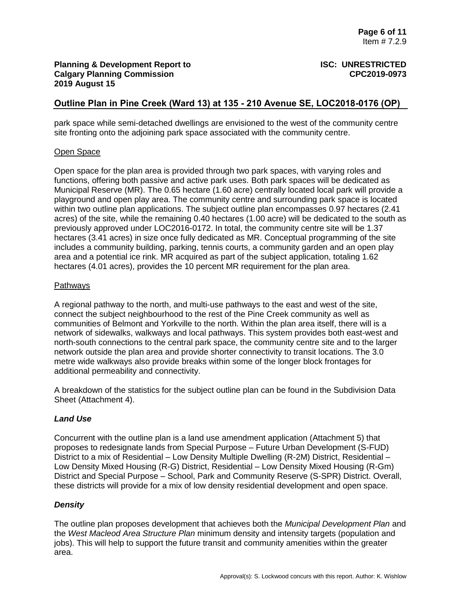# **Outline Plan in Pine Creek (Ward 13) at 135 - 210 Avenue SE, LOC2018-0176 (OP)**

park space while semi-detached dwellings are envisioned to the west of the community centre site fronting onto the adjoining park space associated with the community centre.

# Open Space

Open space for the plan area is provided through two park spaces, with varying roles and functions, offering both passive and active park uses. Both park spaces will be dedicated as Municipal Reserve (MR). The 0.65 hectare (1.60 acre) centrally located local park will provide a playground and open play area. The community centre and surrounding park space is located within two outline plan applications. The subject outline plan encompasses 0.97 hectares (2.41 acres) of the site, while the remaining 0.40 hectares (1.00 acre) will be dedicated to the south as previously approved under LOC2016-0172. In total, the community centre site will be 1.37 hectares (3.41 acres) in size once fully dedicated as MR. Conceptual programming of the site includes a community building, parking, tennis courts, a community garden and an open play area and a potential ice rink. MR acquired as part of the subject application, totaling 1.62 hectares (4.01 acres), provides the 10 percent MR requirement for the plan area.

## Pathways

A regional pathway to the north, and multi-use pathways to the east and west of the site, connect the subject neighbourhood to the rest of the Pine Creek community as well as communities of Belmont and Yorkville to the north. Within the plan area itself, there will is a network of sidewalks, walkways and local pathways. This system provides both east-west and north-south connections to the central park space, the community centre site and to the larger network outside the plan area and provide shorter connectivity to transit locations. The 3.0 metre wide walkways also provide breaks within some of the longer block frontages for additional permeability and connectivity.

A breakdown of the statistics for the subject outline plan can be found in the Subdivision Data Sheet (Attachment 4).

# *Land Use*

Concurrent with the outline plan is a land use amendment application (Attachment 5) that proposes to redesignate lands from Special Purpose – Future Urban Development (S-FUD) District to a mix of Residential – Low Density Multiple Dwelling (R-2M) District, Residential – Low Density Mixed Housing (R-G) District, Residential – Low Density Mixed Housing (R-Gm) District and Special Purpose – School, Park and Community Reserve (S-SPR) District. Overall, these districts will provide for a mix of low density residential development and open space.

# *Density*

The outline plan proposes development that achieves both the *Municipal Development Plan* and the *West Macleod Area Structure Plan* minimum density and intensity targets (population and jobs). This will help to support the future transit and community amenities within the greater area.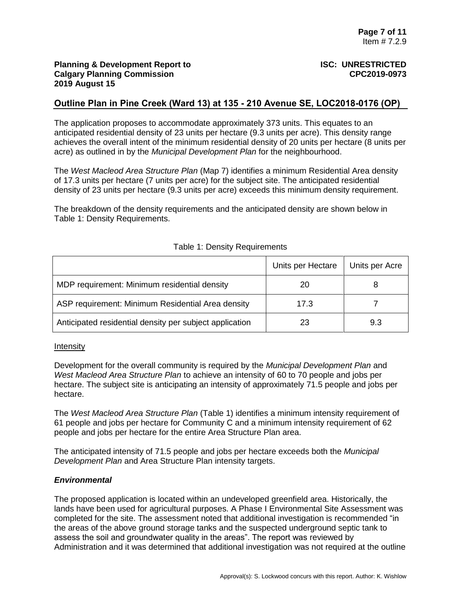# **Outline Plan in Pine Creek (Ward 13) at 135 - 210 Avenue SE, LOC2018-0176 (OP)**

The application proposes to accommodate approximately 373 units. This equates to an anticipated residential density of 23 units per hectare (9.3 units per acre). This density range achieves the overall intent of the minimum residential density of 20 units per hectare (8 units per acre) as outlined in by the *Municipal Development Plan* for the neighbourhood.

The *West Macleod Area Structure Plan* (Map 7) identifies a minimum Residential Area density of 17.3 units per hectare (7 units per acre) for the subject site. The anticipated residential density of 23 units per hectare (9.3 units per acre) exceeds this minimum density requirement.

The breakdown of the density requirements and the anticipated density are shown below in Table 1: Density Requirements.

|                                                         | Units per Hectare | Units per Acre |
|---------------------------------------------------------|-------------------|----------------|
| MDP requirement: Minimum residential density            | 20                | 8              |
| ASP requirement: Minimum Residential Area density       | 17.3              |                |
| Anticipated residential density per subject application | 23                | 9.3            |

## Table 1: Density Requirements

#### **Intensity**

Development for the overall community is required by the *Municipal Development Plan* and *West Macleod Area Structure Plan* to achieve an intensity of 60 to 70 people and jobs per hectare. The subject site is anticipating an intensity of approximately 71.5 people and jobs per hectare.

The *West Macleod Area Structure Plan* (Table 1) identifies a minimum intensity requirement of 61 people and jobs per hectare for Community C and a minimum intensity requirement of 62 people and jobs per hectare for the entire Area Structure Plan area.

The anticipated intensity of 71.5 people and jobs per hectare exceeds both the *Municipal Development Plan* and Area Structure Plan intensity targets.

#### *Environmental*

The proposed application is located within an undeveloped greenfield area. Historically, the lands have been used for agricultural purposes. A Phase I Environmental Site Assessment was completed for the site. The assessment noted that additional investigation is recommended "in the areas of the above ground storage tanks and the suspected underground septic tank to assess the soil and groundwater quality in the areas". The report was reviewed by Administration and it was determined that additional investigation was not required at the outline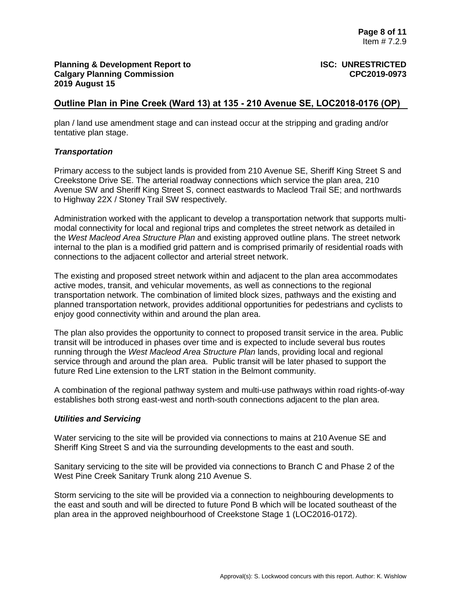# **Outline Plan in Pine Creek (Ward 13) at 135 - 210 Avenue SE, LOC2018-0176 (OP)**

plan / land use amendment stage and can instead occur at the stripping and grading and/or tentative plan stage.

#### *Transportation*

Primary access to the subject lands is provided from 210 Avenue SE, Sheriff King Street S and Creekstone Drive SE. The arterial roadway connections which service the plan area, 210 Avenue SW and Sheriff King Street S, connect eastwards to Macleod Trail SE; and northwards to Highway 22X / Stoney Trail SW respectively.

Administration worked with the applicant to develop a transportation network that supports multimodal connectivity for local and regional trips and completes the street network as detailed in the *West Macleod Area Structure Plan* and existing approved outline plans. The street network internal to the plan is a modified grid pattern and is comprised primarily of residential roads with connections to the adjacent collector and arterial street network.

The existing and proposed street network within and adjacent to the plan area accommodates active modes, transit, and vehicular movements, as well as connections to the regional transportation network. The combination of limited block sizes, pathways and the existing and planned transportation network, provides additional opportunities for pedestrians and cyclists to enjoy good connectivity within and around the plan area.

The plan also provides the opportunity to connect to proposed transit service in the area. Public transit will be introduced in phases over time and is expected to include several bus routes running through the *West Macleod Area Structure Plan* lands, providing local and regional service through and around the plan area. Public transit will be later phased to support the future Red Line extension to the LRT station in the Belmont community.

A combination of the regional pathway system and multi-use pathways within road rights-of-way establishes both strong east-west and north-south connections adjacent to the plan area.

#### *Utilities and Servicing*

Water servicing to the site will be provided via connections to mains at 210 Avenue SE and Sheriff King Street S and via the surrounding developments to the east and south.

Sanitary servicing to the site will be provided via connections to Branch C and Phase 2 of the West Pine Creek Sanitary Trunk along 210 Avenue S.

Storm servicing to the site will be provided via a connection to neighbouring developments to the east and south and will be directed to future Pond B which will be located southeast of the plan area in the approved neighbourhood of Creekstone Stage 1 (LOC2016-0172).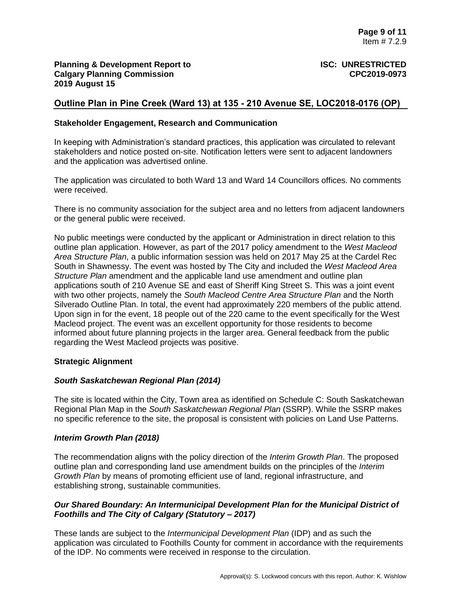# **Outline Plan in Pine Creek (Ward 13) at 135 - 210 Avenue SE, LOC2018-0176 (OP)**

### **Stakeholder Engagement, Research and Communication**

In keeping with Administration's standard practices, this application was circulated to relevant stakeholders and notice posted on-site. Notification letters were sent to adjacent landowners and the application was advertised online.

The application was circulated to both Ward 13 and Ward 14 Councillors offices. No comments were received.

There is no community association for the subject area and no letters from adjacent landowners or the general public were received.

No public meetings were conducted by the applicant or Administration in direct relation to this outline plan application. However, as part of the 2017 policy amendment to the *West Macleod Area Structure Plan*, a public information session was held on 2017 May 25 at the Cardel Rec South in Shawnessy. The event was hosted by The City and included the *West Macleod Area Structure Plan* amendment and the applicable land use amendment and outline plan applications south of 210 Avenue SE and east of Sheriff King Street S. This was a joint event with two other projects, namely the *South Macleod Centre Area Structure Plan* and the North Silverado Outline Plan. In total, the event had approximately 220 members of the public attend. Upon sign in for the event, 18 people out of the 220 came to the event specifically for the West Macleod project. The event was an excellent opportunity for those residents to become informed about future planning projects in the larger area. General feedback from the public regarding the West Macleod projects was positive.

#### **Strategic Alignment**

#### *South Saskatchewan Regional Plan (2014)*

The site is located within the City, Town area as identified on Schedule C: South Saskatchewan Regional Plan Map in the *South Saskatchewan Regional Plan* (SSRP). While the SSRP makes no specific reference to the site, the proposal is consistent with policies on Land Use Patterns.

#### *Interim Growth Plan (2018)*

The recommendation aligns with the policy direction of the *Interim Growth Plan*. The proposed outline plan and corresponding land use amendment builds on the principles of the *Interim Growth Plan* by means of promoting efficient use of land, regional infrastructure, and establishing strong, sustainable communities.

# *Our Shared Boundary: An Intermunicipal Development Plan for the Municipal District of Foothills and The City of Calgary (Statutory – 2017)*

These lands are subject to the *Intermunicipal Development Plan* (IDP) and as such the application was circulated to Foothills County for comment in accordance with the requirements of the IDP. No comments were received in response to the circulation.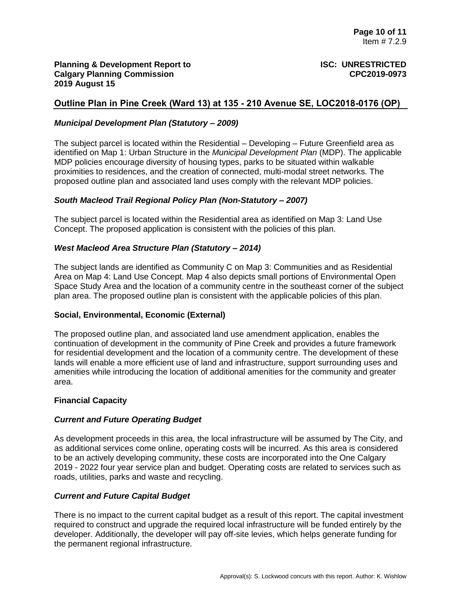# **Outline Plan in Pine Creek (Ward 13) at 135 - 210 Avenue SE, LOC2018-0176 (OP)**

### *Municipal Development Plan (Statutory – 2009)*

The subject parcel is located within the Residential – Developing – Future Greenfield area as identified on Map 1: Urban Structure in the *Municipal Development Plan* (MDP). The applicable MDP policies encourage diversity of housing types, parks to be situated within walkable proximities to residences, and the creation of connected, multi-modal street networks. The proposed outline plan and associated land uses comply with the relevant MDP policies.

#### *South Macleod Trail Regional Policy Plan (Non-Statutory – 2007)*

The subject parcel is located within the Residential area as identified on Map 3: Land Use Concept. The proposed application is consistent with the policies of this plan.

## *West Macleod Area Structure Plan (Statutory – 2014)*

The subject lands are identified as Community C on Map 3: Communities and as Residential Area on Map 4: Land Use Concept. Map 4 also depicts small portions of Environmental Open Space Study Area and the location of a community centre in the southeast corner of the subject plan area. The proposed outline plan is consistent with the applicable policies of this plan.

#### **Social, Environmental, Economic (External)**

The proposed outline plan, and associated land use amendment application, enables the continuation of development in the community of Pine Creek and provides a future framework for residential development and the location of a community centre. The development of these lands will enable a more efficient use of land and infrastructure, support surrounding uses and amenities while introducing the location of additional amenities for the community and greater area.

#### **Financial Capacity**

#### *Current and Future Operating Budget*

As development proceeds in this area, the local infrastructure will be assumed by The City, and as additional services come online, operating costs will be incurred. As this area is considered to be an actively developing community, these costs are incorporated into the One Calgary 2019 - 2022 four year service plan and budget. Operating costs are related to services such as roads, utilities, parks and waste and recycling.

#### *Current and Future Capital Budget*

There is no impact to the current capital budget as a result of this report. The capital investment required to construct and upgrade the required local infrastructure will be funded entirely by the developer. Additionally, the developer will pay off-site levies, which helps generate funding for the permanent regional infrastructure.